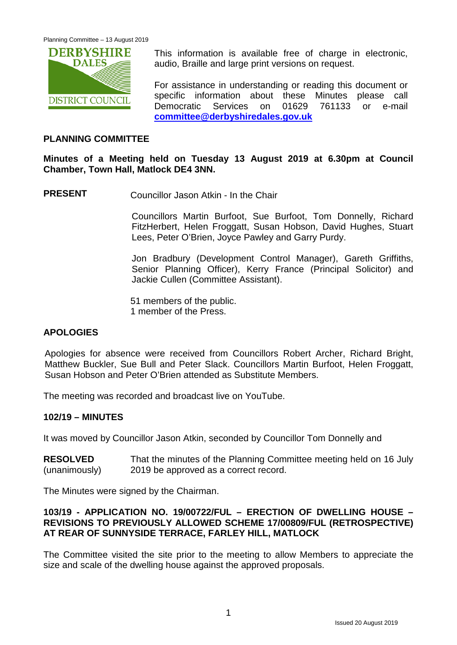

This information is available free of charge in electronic. audio, Braille and large print versions on request.

For assistance in understanding or reading this document or specific information about these Minutes please call Democratic Services on 01629 761133 or e-mail **[committee@derbyshiredales.gov.uk](mailto:committee@derbyshiredales.gov.uk)**

## **PLANNING COMMITTEE**

#### **Minutes of a Meeting held on Tuesday 13 August 2019 at 6.30pm at Council Chamber, Town Hall, Matlock DE4 3NN.**

**PRESENT** Councillor Jason Atkin - In the Chair

Councillors Martin Burfoot, Sue Burfoot, Tom Donnelly, Richard FitzHerbert, Helen Froggatt, Susan Hobson, David Hughes, Stuart Lees, Peter O'Brien, Joyce Pawley and Garry Purdy.

Jon Bradbury (Development Control Manager), Gareth Griffiths, Senior Planning Officer), Kerry France (Principal Solicitor) and Jackie Cullen (Committee Assistant).

51 members of the public. 1 member of the Press.

# **APOLOGIES**

Apologies for absence were received from Councillors Robert Archer, Richard Bright, Matthew Buckler, Sue Bull and Peter Slack. Councillors Martin Burfoot, Helen Froggatt, Susan Hobson and Peter O'Brien attended as Substitute Members.

The meeting was recorded and broadcast live on YouTube.

#### **102/19 – MINUTES**

It was moved by Councillor Jason Atkin, seconded by Councillor Tom Donnelly and

| <b>RESOLVED</b> | That the minutes of the Planning Committee meeting held on 16 July |
|-----------------|--------------------------------------------------------------------|
| (unanimously)   | 2019 be approved as a correct record.                              |

The Minutes were signed by the Chairman.

# **103/19 - APPLICATION NO. 19/00722/FUL – ERECTION OF DWELLING HOUSE – REVISIONS TO PREVIOUSLY ALLOWED SCHEME 17/00809/FUL (RETROSPECTIVE) AT REAR OF SUNNYSIDE TERRACE, FARLEY HILL, MATLOCK**

The Committee visited the site prior to the meeting to allow Members to appreciate the size and scale of the dwelling house against the approved proposals.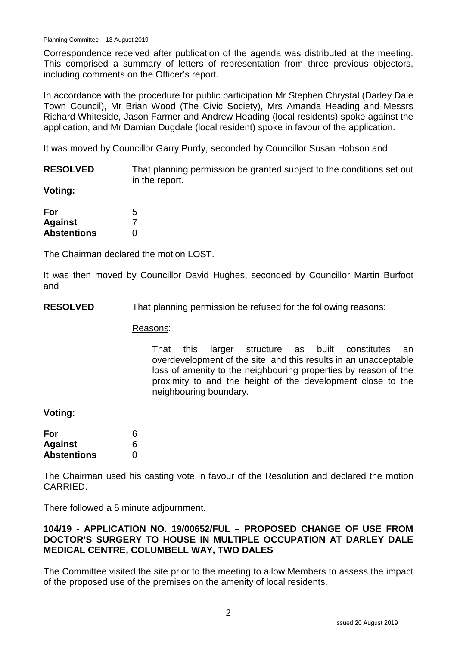Correspondence received after publication of the agenda was distributed at the meeting. This comprised a summary of letters of representation from three previous objectors, including comments on the Officer's report.

In accordance with the procedure for public participation Mr Stephen Chrystal (Darley Dale Town Council), Mr Brian Wood (The Civic Society), Mrs Amanda Heading and Messrs Richard Whiteside, Jason Farmer and Andrew Heading (local residents) spoke against the application, and Mr Damian Dugdale (local resident) spoke in favour of the application.

It was moved by Councillor Garry Purdy, seconded by Councillor Susan Hobson and

**RESOLVED** That planning permission be granted subject to the conditions set out in the report.

**Voting:**

| For                | 5 |
|--------------------|---|
| <b>Against</b>     |   |
| <b>Abstentions</b> | 0 |

The Chairman declared the motion LOST.

It was then moved by Councillor David Hughes, seconded by Councillor Martin Burfoot and

**RESOLVED** That planning permission be refused for the following reasons:

Reasons:

That this larger structure as built constitutes an overdevelopment of the site; and this results in an unacceptable loss of amenity to the neighbouring properties by reason of the proximity to and the height of the development close to the neighbouring boundary.

**Voting:**

| For                | 6 |
|--------------------|---|
| <b>Against</b>     | 6 |
| <b>Abstentions</b> | O |

The Chairman used his casting vote in favour of the Resolution and declared the motion CARRIED.

There followed a 5 minute adjournment.

# **104/19 - APPLICATION NO. 19/00652/FUL – PROPOSED CHANGE OF USE FROM DOCTOR'S SURGERY TO HOUSE IN MULTIPLE OCCUPATION AT DARLEY DALE MEDICAL CENTRE, COLUMBELL WAY, TWO DALES**

The Committee visited the site prior to the meeting to allow Members to assess the impact of the proposed use of the premises on the amenity of local residents.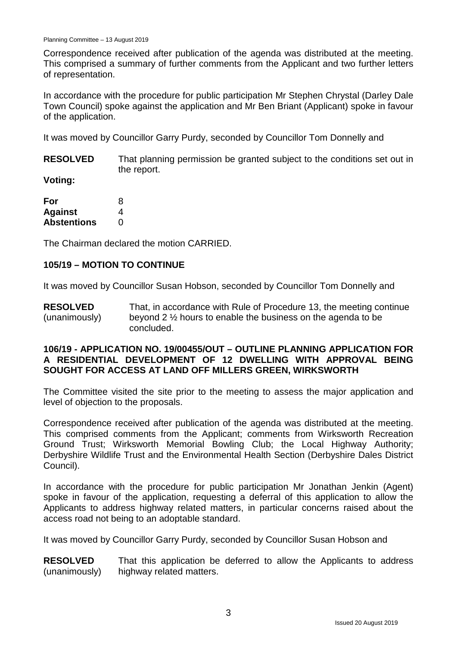Correspondence received after publication of the agenda was distributed at the meeting. This comprised a summary of further comments from the Applicant and two further letters of representation.

In accordance with the procedure for public participation Mr Stephen Chrystal (Darley Dale Town Council) spoke against the application and Mr Ben Briant (Applicant) spoke in favour of the application.

It was moved by Councillor Garry Purdy, seconded by Councillor Tom Donnelly and

**RESOLVED** That planning permission be granted subject to the conditions set out in the report.

**Voting:**

| For                | 8             |
|--------------------|---------------|
| Against            | 4             |
| <b>Abstentions</b> | $\mathcal{L}$ |

The Chairman declared the motion CARRIED.

# **105/19 – MOTION TO CONTINUE**

It was moved by Councillor Susan Hobson, seconded by Councillor Tom Donnelly and

**RESOLVED** (unanimously) That, in accordance with Rule of Procedure 13, the meeting continue beyond 2 ½ hours to enable the business on the agenda to be concluded.

### **106/19 - APPLICATION NO. 19/00455/OUT – OUTLINE PLANNING APPLICATION FOR A RESIDENTIAL DEVELOPMENT OF 12 DWELLING WITH APPROVAL BEING SOUGHT FOR ACCESS AT LAND OFF MILLERS GREEN, WIRKSWORTH**

The Committee visited the site prior to the meeting to assess the major application and level of objection to the proposals.

Correspondence received after publication of the agenda was distributed at the meeting. This comprised comments from the Applicant; comments from Wirksworth Recreation Ground Trust; Wirksworth Memorial Bowling Club; the Local Highway Authority; Derbyshire Wildlife Trust and the Environmental Health Section (Derbyshire Dales District Council).

In accordance with the procedure for public participation Mr Jonathan Jenkin (Agent) spoke in favour of the application, requesting a deferral of this application to allow the Applicants to address highway related matters, in particular concerns raised about the access road not being to an adoptable standard.

It was moved by Councillor Garry Purdy, seconded by Councillor Susan Hobson and

**RESOLVED** (unanimously) That this application be deferred to allow the Applicants to address highway related matters.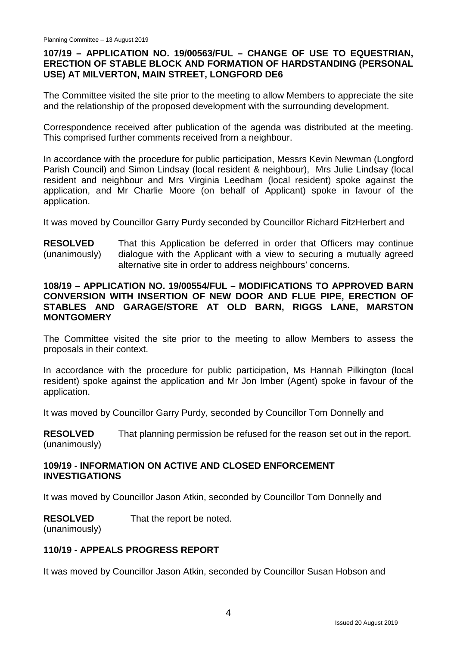# **107/19 – APPLICATION NO. 19/00563/FUL – CHANGE OF USE TO EQUESTRIAN, ERECTION OF STABLE BLOCK AND FORMATION OF HARDSTANDING (PERSONAL USE) AT MILVERTON, MAIN STREET, LONGFORD DE6**

The Committee visited the site prior to the meeting to allow Members to appreciate the site and the relationship of the proposed development with the surrounding development.

Correspondence received after publication of the agenda was distributed at the meeting. This comprised further comments received from a neighbour.

In accordance with the procedure for public participation, Messrs Kevin Newman (Longford Parish Council) and Simon Lindsay (local resident & neighbour), Mrs Julie Lindsay (local resident and neighbour and Mrs Virginia Leedham (local resident) spoke against the application, and Mr Charlie Moore (on behalf of Applicant) spoke in favour of the application.

It was moved by Councillor Garry Purdy seconded by Councillor Richard FitzHerbert and

**RESOLVED** (unanimously) That this Application be deferred in order that Officers may continue dialogue with the Applicant with a view to securing a mutually agreed alternative site in order to address neighbours' concerns.

## **108/19 – APPLICATION NO. 19/00554/FUL – MODIFICATIONS TO APPROVED BARN CONVERSION WITH INSERTION OF NEW DOOR AND FLUE PIPE, ERECTION OF STABLES AND GARAGE/STORE AT OLD BARN, RIGGS LANE, MARSTON MONTGOMERY**

The Committee visited the site prior to the meeting to allow Members to assess the proposals in their context.

In accordance with the procedure for public participation, Ms Hannah Pilkington (local resident) spoke against the application and Mr Jon Imber (Agent) spoke in favour of the application.

It was moved by Councillor Garry Purdy, seconded by Councillor Tom Donnelly and

**RESOLVED** (unanimously) That planning permission be refused for the reason set out in the report.

# **109/19 - INFORMATION ON ACTIVE AND CLOSED ENFORCEMENT INVESTIGATIONS**

It was moved by Councillor Jason Atkin, seconded by Councillor Tom Donnelly and

**RESOLVED** That the report be noted.

(unanimously)

# **110/19 - APPEALS PROGRESS REPORT**

It was moved by Councillor Jason Atkin, seconded by Councillor Susan Hobson and